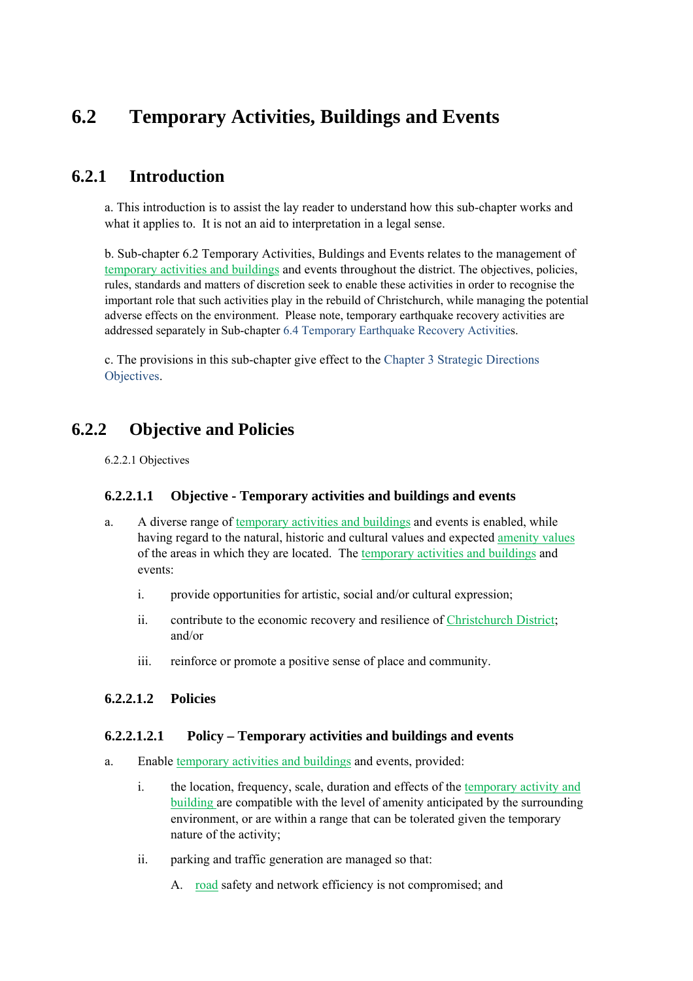# **6.2 Temporary Activities, Buildings and Events**

# **6.2.1 Introduction**

a. This introduction is to assist the lay reader to understand how this sub-chapter works and what it applies to. It is not an aid to interpretation in a legal sense.

b. Sub-chapter 6.2 Temporary Activities, Buldings and Events relates to the management of temporary activities and buildings and events throughout the district. The objectives, policies, rules, standards and matters of discretion seek to enable these activities in order to recognise the important role that such activities play in the rebuild of Christchurch, while managing the potential adverse effects on the environment. Please note, temporary earthquake recovery activities are addressed separately in Sub-chapter 6.4 Temporary Earthquake Recovery Activities.

c. The provisions in this sub-chapter give effect to the Chapter 3 Strategic Directions Objectives.

# **6.2.2 Objective and Policies**

6.2.2.1 Objectives

#### **6.2.2.1.1 Objective - Temporary activities and buildings and events**

- a. A diverse range of temporary activities and buildings and events is enabled, while having regard to the natural, historic and cultural values and expected amenity values of the areas in which they are located. The temporary activities and buildings and events:
	- i. provide opportunities for artistic, social and/or cultural expression;
	- ii. contribute to the economic recovery and resilience of Christchurch District; and/or
	- iii. reinforce or promote a positive sense of place and community.

#### **6.2.2.1.2 Policies**

#### **6.2.2.1.2.1 Policy – Temporary activities and buildings and events**

- a. Enable temporary activities and buildings and events, provided:
	- i. the location, frequency, scale, duration and effects of the temporary activity and building are compatible with the level of amenity anticipated by the surrounding environment, or are within a range that can be tolerated given the temporary nature of the activity;
	- ii. parking and traffic generation are managed so that:
		- A. road safety and network efficiency is not compromised; and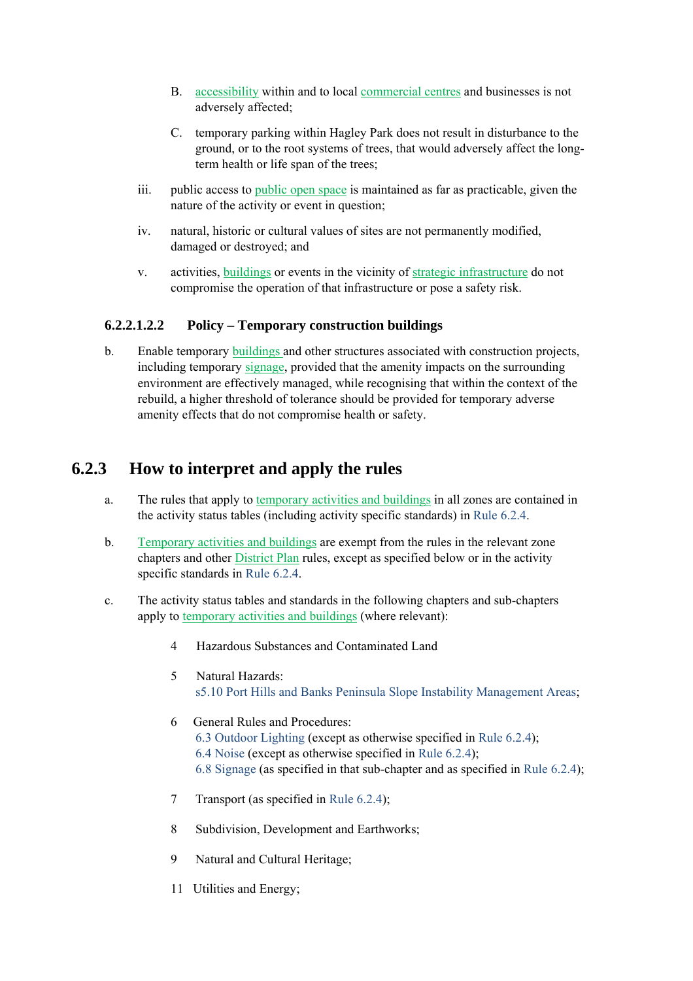- B. accessibility within and to local commercial centres and businesses is not adversely affected;
- C. temporary parking within Hagley Park does not result in disturbance to the ground, or to the root systems of trees, that would adversely affect the longterm health or life span of the trees;
- iii. public access to public open space is maintained as far as practicable, given the nature of the activity or event in question;
- iv. natural, historic or cultural values of sites are not permanently modified, damaged or destroyed; and
- v. activities, buildings or events in the vicinity of strategic infrastructure do not compromise the operation of that infrastructure or pose a safety risk.

#### **6.2.2.1.2.2 Policy – Temporary construction buildings**

b. Enable temporary buildings and other structures associated with construction projects, including temporary signage, provided that the amenity impacts on the surrounding environment are effectively managed, while recognising that within the context of the rebuild, a higher threshold of tolerance should be provided for temporary adverse amenity effects that do not compromise health or safety.

# **6.2.3 How to interpret and apply the rules**

- a. The rules that apply to temporary activities and buildings in all zones are contained in the activity status tables (including activity specific standards) in Rule 6.2.4.
- b. Temporary activities and buildings are exempt from the rules in the relevant zone chapters and other District Plan rules, except as specified below or in the activity specific standards in Rule 6.2.4.
- c. The activity status tables and standards in the following chapters and sub-chapters apply to temporary activities and buildings (where relevant):
	- 4 Hazardous Substances and Contaminated Land
	- 5 Natural Hazards: s5.10 Port Hills and Banks Peninsula Slope Instability Management Areas;
	- 6 General Rules and Procedures: 6.3 Outdoor Lighting (except as otherwise specified in Rule 6.2.4); 6.4 Noise (except as otherwise specified in Rule 6.2.4); 6.8 Signage (as specified in that sub-chapter and as specified in Rule 6.2.4);
	- 7 Transport (as specified in Rule 6.2.4);
	- 8 Subdivision, Development and Earthworks;
	- 9 Natural and Cultural Heritage;
	- 11 Utilities and Energy;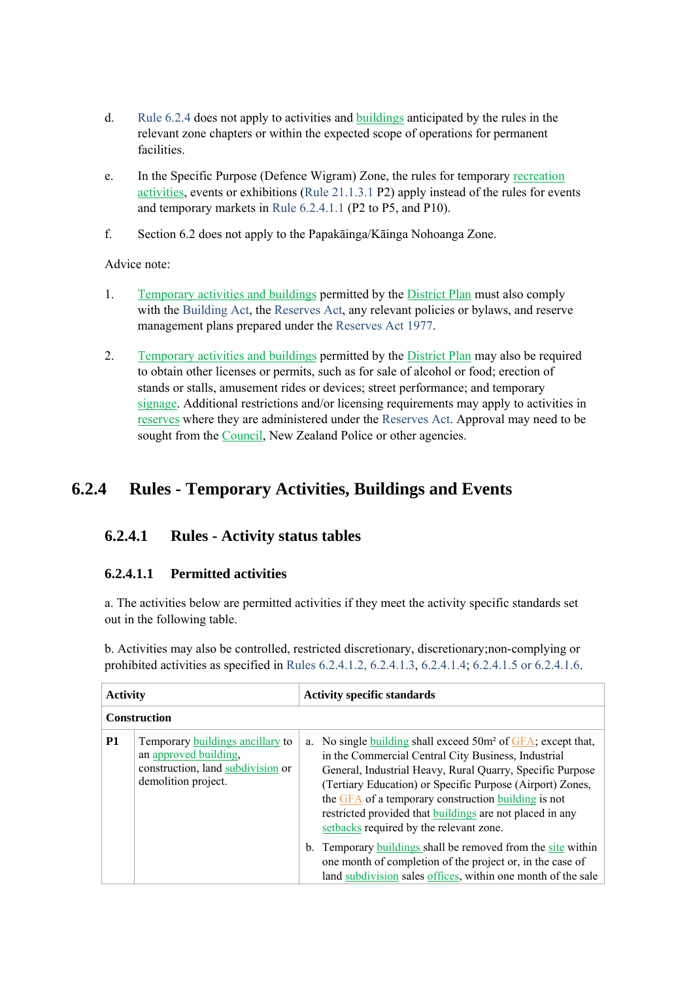- d. Rule 6.2.4 does not apply to activities and buildings anticipated by the rules in the relevant zone chapters or within the expected scope of operations for permanent facilities.
- e. In the Specific Purpose (Defence Wigram) Zone, the rules for temporary recreation activities, events or exhibitions (Rule 21.1.3.1 P2) apply instead of the rules for events and temporary markets in Rule 6.2.4.1.1 (P2 to P5, and P10).
- f. Section 6.2 does not apply to the Papakāinga/Kāinga Nohoanga Zone.

Advice note:

- 1. Temporary activities and buildings permitted by the District Plan must also comply with the Building Act, the Reserves Act, any relevant policies or bylaws, and reserve management plans prepared under the Reserves Act 1977.
- 2. Temporary activities and buildings permitted by the District Plan may also be required to obtain other licenses or permits, such as for sale of alcohol or food; erection of stands or stalls, amusement rides or devices; street performance; and temporary signage. Additional restrictions and/or licensing requirements may apply to activities in reserves where they are administered under the Reserves Act. Approval may need to be sought from the Council, New Zealand Police or other agencies.

# **6.2.4 Rules - Temporary Activities, Buildings and Events**

## **6.2.4.1 Rules - Activity status tables**

#### **6.2.4.1.1 Permitted activities**

a. The activities below are permitted activities if they meet the activity specific standards set out in the following table.

b. Activities may also be controlled, restricted discretionary, discretionary;non-complying or prohibited activities as specified in Rules 6.2.4.1.2, 6.2.4.1.3, 6.2.4.1.4; 6.2.4.1.5 or 6.2.4.1.6.

| <b>Activity</b>     |                                                                                                                       | <b>Activity specific standards</b>                                                                                                                                                                                                                                                                                                                                                                                |  |  |
|---------------------|-----------------------------------------------------------------------------------------------------------------------|-------------------------------------------------------------------------------------------------------------------------------------------------------------------------------------------------------------------------------------------------------------------------------------------------------------------------------------------------------------------------------------------------------------------|--|--|
| <b>Construction</b> |                                                                                                                       |                                                                                                                                                                                                                                                                                                                                                                                                                   |  |  |
| <b>P1</b>           | Temporary buildings ancillary to<br>an approved building,<br>construction, land subdivision or<br>demolition project. | a. No single building shall exceed $50m^2$ of $GFA$ ; except that,<br>in the Commercial Central City Business, Industrial<br>General, Industrial Heavy, Rural Quarry, Specific Purpose<br>(Tertiary Education) or Specific Purpose (Airport) Zones,<br>the GFA of a temporary construction building is not<br>restricted provided that buildings are not placed in any<br>setbacks required by the relevant zone. |  |  |
|                     |                                                                                                                       | Temporary <b>buildings</b> shall be removed from the site within<br>$b_{-}$<br>one month of completion of the project or, in the case of<br>land subdivision sales offices, within one month of the sale                                                                                                                                                                                                          |  |  |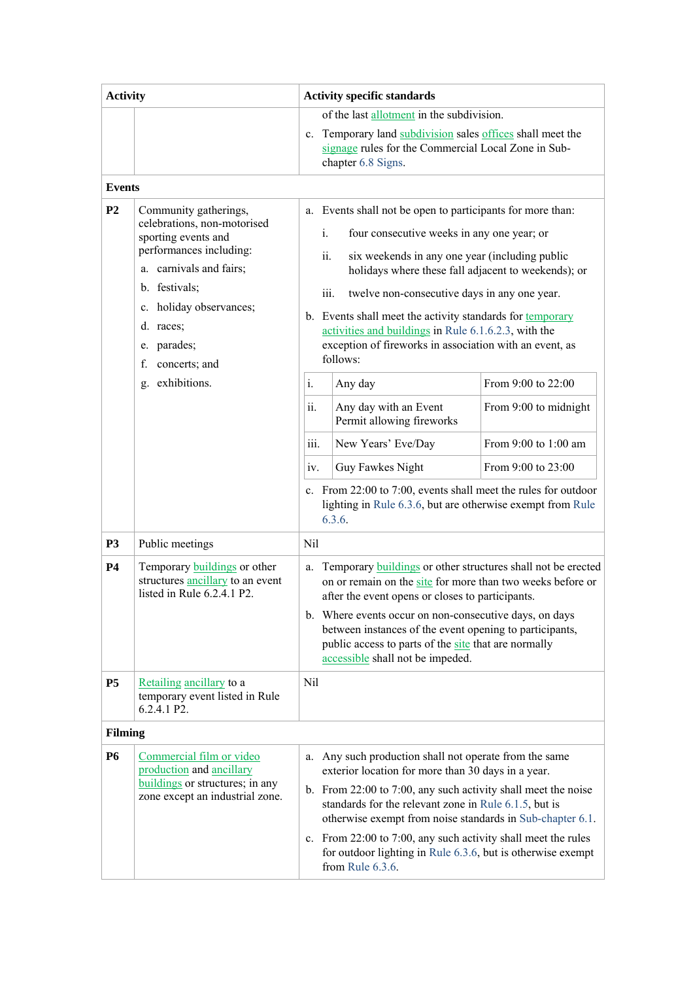| <b>Activity</b>                 |                                                                                                                                                                                                                                                              | <b>Activity specific standards</b>                                                                                                                                                                                                                                                                                                                                                                                                                      |                                                                                                                                                                                                                                                                                                                                                                                                                                                                                                                                                                                                                                                                                                                  |                                                                                               |  |
|---------------------------------|--------------------------------------------------------------------------------------------------------------------------------------------------------------------------------------------------------------------------------------------------------------|---------------------------------------------------------------------------------------------------------------------------------------------------------------------------------------------------------------------------------------------------------------------------------------------------------------------------------------------------------------------------------------------------------------------------------------------------------|------------------------------------------------------------------------------------------------------------------------------------------------------------------------------------------------------------------------------------------------------------------------------------------------------------------------------------------------------------------------------------------------------------------------------------------------------------------------------------------------------------------------------------------------------------------------------------------------------------------------------------------------------------------------------------------------------------------|-----------------------------------------------------------------------------------------------|--|
|                                 |                                                                                                                                                                                                                                                              | of the last allotment in the subdivision.<br>Temporary land subdivision sales offices shall meet the<br>$\mathbf{c}$ .<br>signage rules for the Commercial Local Zone in Sub-<br>chapter 6.8 Signs.                                                                                                                                                                                                                                                     |                                                                                                                                                                                                                                                                                                                                                                                                                                                                                                                                                                                                                                                                                                                  |                                                                                               |  |
| <b>Events</b><br>P <sub>2</sub> | Community gatherings,<br>celebrations, non-motorised<br>sporting events and<br>performances including:<br>a. carnivals and fairs;<br>b. festivals;<br>holiday observances;<br>c.<br>d. races;<br>parades;<br>e.<br>f.<br>concerts; and<br>exhibitions.<br>g. | $i$ .<br>ii.<br>$\mathbf{i}$ .<br>ii.<br>iii.<br>iv.                                                                                                                                                                                                                                                                                                                                                                                                    | a. Events shall not be open to participants for more than:<br>four consecutive weeks in any one year; or<br>six weekends in any one year (including public<br>holidays where these fall adjacent to weekends); or<br>iii.<br>twelve non-consecutive days in any one year.<br>b. Events shall meet the activity standards for temporary<br>activities and buildings in Rule 6.1.6.2.3, with the<br>exception of fireworks in association with an event, as<br>follows:<br>Any day<br>Any day with an Event<br>Permit allowing fireworks<br>New Years' Eve/Day<br>Guy Fawkes Night<br>c. From 22:00 to 7:00, events shall meet the rules for outdoor<br>lighting in Rule 6.3.6, but are otherwise exempt from Rule | From 9:00 to 22:00<br>From 9:00 to midnight<br>From $9:00$ to $1:00$ am<br>From 9:00 to 23:00 |  |
| <b>P3</b><br><b>P4</b>          | Public meetings<br>Temporary <b>buildings</b> or other<br>structures ancillary to an event                                                                                                                                                                   | Nil<br>a.                                                                                                                                                                                                                                                                                                                                                                                                                                               | 6.3.6.<br>Temporary <b>buildings</b> or other structures shall not be erected                                                                                                                                                                                                                                                                                                                                                                                                                                                                                                                                                                                                                                    |                                                                                               |  |
|                                 | listed in Rule 6.2.4.1 P2.                                                                                                                                                                                                                                   | on or remain on the site for more than two weeks before or<br>after the event opens or closes to participants.<br>b. Where events occur on non-consecutive days, on days<br>between instances of the event opening to participants,<br>public access to parts of the site that are normally<br>accessible shall not be impeded.                                                                                                                         |                                                                                                                                                                                                                                                                                                                                                                                                                                                                                                                                                                                                                                                                                                                  |                                                                                               |  |
| <b>P5</b>                       | Retailing ancillary to a<br>temporary event listed in Rule<br>6.2.4.1 P2.                                                                                                                                                                                    | Nil                                                                                                                                                                                                                                                                                                                                                                                                                                                     |                                                                                                                                                                                                                                                                                                                                                                                                                                                                                                                                                                                                                                                                                                                  |                                                                                               |  |
| <b>Filming</b>                  |                                                                                                                                                                                                                                                              |                                                                                                                                                                                                                                                                                                                                                                                                                                                         |                                                                                                                                                                                                                                                                                                                                                                                                                                                                                                                                                                                                                                                                                                                  |                                                                                               |  |
| <b>P6</b>                       | Commercial film or video<br>production and ancillary<br>buildings or structures; in any<br>zone except an industrial zone.                                                                                                                                   | a. Any such production shall not operate from the same<br>exterior location for more than 30 days in a year.<br>b. From 22:00 to 7:00, any such activity shall meet the noise<br>standards for the relevant zone in Rule 6.1.5, but is<br>otherwise exempt from noise standards in Sub-chapter 6.1.<br>c. From 22:00 to 7:00, any such activity shall meet the rules<br>for outdoor lighting in Rule 6.3.6, but is otherwise exempt<br>from Rule 6.3.6. |                                                                                                                                                                                                                                                                                                                                                                                                                                                                                                                                                                                                                                                                                                                  |                                                                                               |  |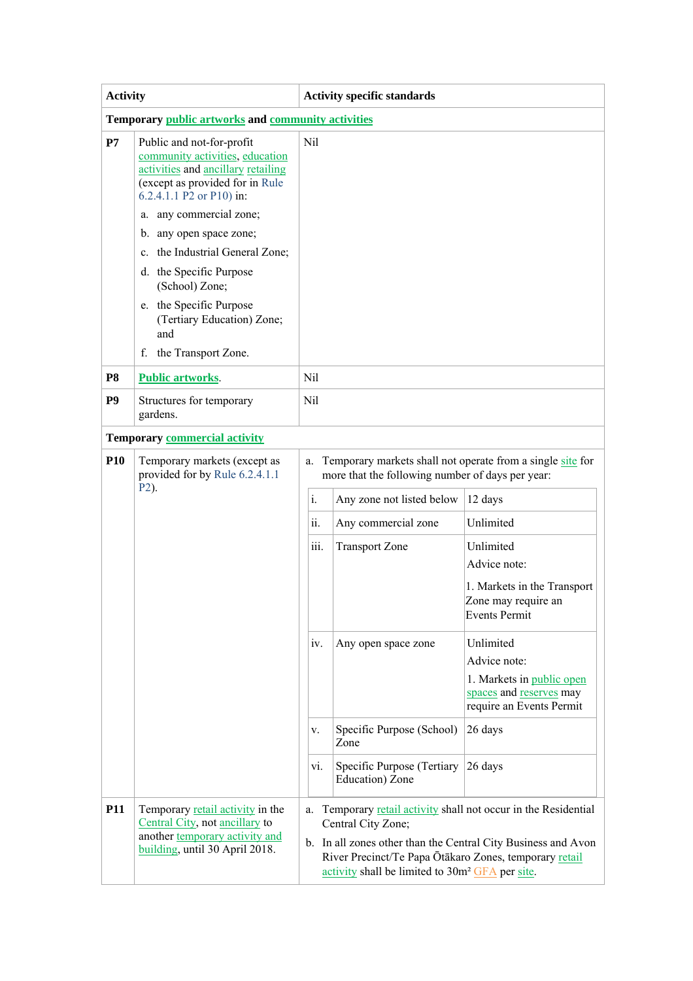| <b>Activity</b>                                    |                                                                                                                                                                                                    | <b>Activity specific standards</b>                                                                                                                                                                                                                                                 |                                                                                                                                                                                                                                                                                                          |                                                                                                                                                                                                                                                                        |  |  |
|----------------------------------------------------|----------------------------------------------------------------------------------------------------------------------------------------------------------------------------------------------------|------------------------------------------------------------------------------------------------------------------------------------------------------------------------------------------------------------------------------------------------------------------------------------|----------------------------------------------------------------------------------------------------------------------------------------------------------------------------------------------------------------------------------------------------------------------------------------------------------|------------------------------------------------------------------------------------------------------------------------------------------------------------------------------------------------------------------------------------------------------------------------|--|--|
| Temporary public artworks and community activities |                                                                                                                                                                                                    |                                                                                                                                                                                                                                                                                    |                                                                                                                                                                                                                                                                                                          |                                                                                                                                                                                                                                                                        |  |  |
| P7                                                 | Public and not-for-profit<br>community activities, education<br>activities and ancillary retailing<br>(except as provided for in Rule<br>6.2.4.1.1 P2 or P10) in:                                  | Nil                                                                                                                                                                                                                                                                                |                                                                                                                                                                                                                                                                                                          |                                                                                                                                                                                                                                                                        |  |  |
|                                                    | a. any commercial zone;<br>b. any open space zone;<br>c. the Industrial General Zone;<br>d. the Specific Purpose<br>(School) Zone;<br>e. the Specific Purpose<br>(Tertiary Education) Zone;<br>and |                                                                                                                                                                                                                                                                                    |                                                                                                                                                                                                                                                                                                          |                                                                                                                                                                                                                                                                        |  |  |
|                                                    | f. the Transport Zone.                                                                                                                                                                             |                                                                                                                                                                                                                                                                                    |                                                                                                                                                                                                                                                                                                          |                                                                                                                                                                                                                                                                        |  |  |
| <b>P8</b>                                          | <b>Public artworks.</b>                                                                                                                                                                            | Nil                                                                                                                                                                                                                                                                                |                                                                                                                                                                                                                                                                                                          |                                                                                                                                                                                                                                                                        |  |  |
| P <sub>9</sub>                                     | Structures for temporary<br>gardens.                                                                                                                                                               | Nil                                                                                                                                                                                                                                                                                |                                                                                                                                                                                                                                                                                                          |                                                                                                                                                                                                                                                                        |  |  |
|                                                    | <b>Temporary commercial activity</b>                                                                                                                                                               |                                                                                                                                                                                                                                                                                    |                                                                                                                                                                                                                                                                                                          |                                                                                                                                                                                                                                                                        |  |  |
| <b>P10</b>                                         | Temporary markets (except as<br>provided for by Rule 6.2.4.1.1<br>P <sub>2</sub> ).                                                                                                                | a.<br>$\mathbf{i}$ .<br>$\ddot{\mathbf{i}}$<br>iii.<br>IV.<br>V.<br>vi.                                                                                                                                                                                                            | Temporary markets shall not operate from a single site for<br>more that the following number of days per year:<br>Any zone not listed below<br>Any commercial zone<br><b>Transport Zone</b><br>Any open space zone<br>Specific Purpose (School)<br>Zone<br>Specific Purpose (Tertiary<br>Education) Zone | 12 days<br>Unlimited<br>Unlimited<br>Advice note:<br>1. Markets in the Transport<br>Zone may require an<br><b>Events Permit</b><br>Unlimited<br>Advice note:<br>1. Markets in public open<br>spaces and reserves may<br>require an Events Permit<br>26 days<br>26 days |  |  |
| <b>P11</b>                                         | Temporary retail activity in the<br>Central City, not ancillary to<br>another temporary activity and<br>building, until 30 April 2018.                                                             | Temporary retail activity shall not occur in the Residential<br>a.<br>Central City Zone;<br>b. In all zones other than the Central City Business and Avon<br>River Precinct/Te Papa Ōtākaro Zones, temporary retail<br>activity shall be limited to 30m <sup>2</sup> GFA per site. |                                                                                                                                                                                                                                                                                                          |                                                                                                                                                                                                                                                                        |  |  |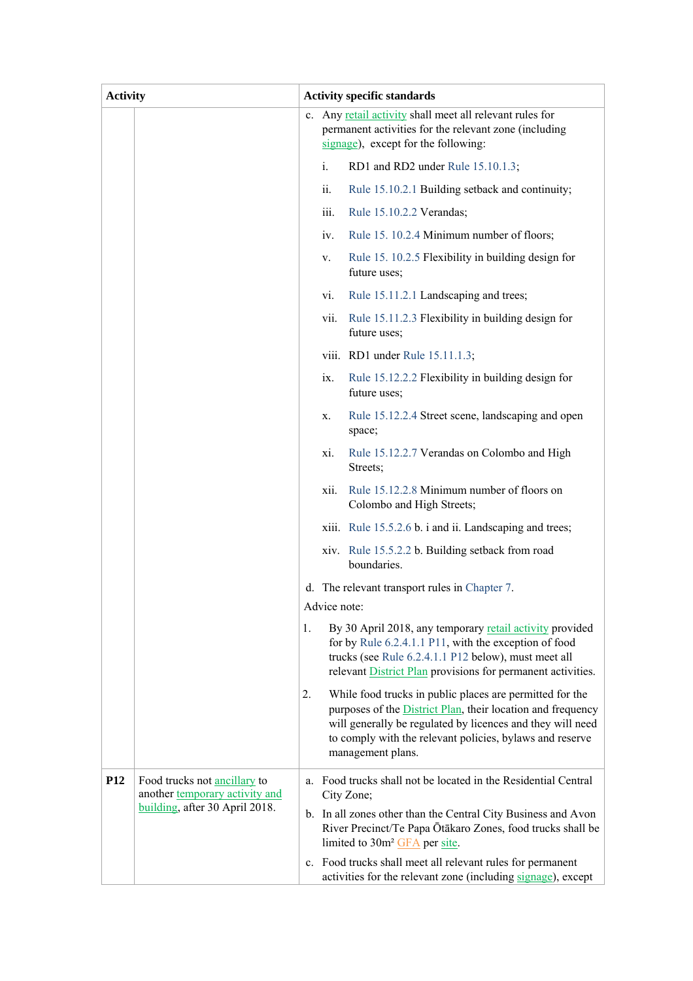| <b>Activity</b> |                                                                                                  |    |                | <b>Activity specific standards</b>                                                                                                                                                                                                                                     |
|-----------------|--------------------------------------------------------------------------------------------------|----|----------------|------------------------------------------------------------------------------------------------------------------------------------------------------------------------------------------------------------------------------------------------------------------------|
|                 |                                                                                                  |    |                | c. Any retail activity shall meet all relevant rules for<br>permanent activities for the relevant zone (including<br>signage), except for the following:                                                                                                               |
|                 |                                                                                                  |    | $\mathbf{1}$ . | RD1 and RD2 under Rule 15.10.1.3;                                                                                                                                                                                                                                      |
|                 |                                                                                                  |    | ii.            | Rule 15.10.2.1 Building setback and continuity;                                                                                                                                                                                                                        |
|                 |                                                                                                  |    | iii.           | Rule 15.10.2.2 Verandas;                                                                                                                                                                                                                                               |
|                 |                                                                                                  |    | iv.            | Rule 15. 10.2.4 Minimum number of floors;                                                                                                                                                                                                                              |
|                 |                                                                                                  |    | V.             | Rule 15. 10.2.5 Flexibility in building design for<br>future uses;                                                                                                                                                                                                     |
|                 |                                                                                                  |    | vi.            | Rule 15.11.2.1 Landscaping and trees;                                                                                                                                                                                                                                  |
|                 |                                                                                                  |    | vii.           | Rule 15.11.2.3 Flexibility in building design for<br>future uses;                                                                                                                                                                                                      |
|                 |                                                                                                  |    |                | viii. RD1 under Rule 15.11.1.3;                                                                                                                                                                                                                                        |
|                 |                                                                                                  |    | ix.            | Rule 15.12.2.2 Flexibility in building design for<br>future uses;                                                                                                                                                                                                      |
|                 |                                                                                                  |    | X.             | Rule 15.12.2.4 Street scene, landscaping and open<br>space;                                                                                                                                                                                                            |
|                 |                                                                                                  |    | xi.            | Rule 15.12.2.7 Verandas on Colombo and High<br>Streets;                                                                                                                                                                                                                |
|                 |                                                                                                  |    | xii.           | Rule 15.12.2.8 Minimum number of floors on<br>Colombo and High Streets;                                                                                                                                                                                                |
|                 |                                                                                                  |    |                | xiii. Rule 15.5.2.6 b. i and ii. Landscaping and trees;                                                                                                                                                                                                                |
|                 |                                                                                                  |    |                | xiv. Rule 15.5.2.2 b. Building setback from road<br>boundaries.                                                                                                                                                                                                        |
|                 |                                                                                                  |    |                | d. The relevant transport rules in Chapter 7.                                                                                                                                                                                                                          |
|                 |                                                                                                  |    |                | Advice note:                                                                                                                                                                                                                                                           |
|                 |                                                                                                  | 1. |                | By 30 April 2018, any temporary retail activity provided<br>for by Rule 6.2.4.1.1 P11, with the exception of food<br>trucks (see Rule 6.2.4.1.1 P12 below), must meet all<br>relevant District Plan provisions for permanent activities.                               |
|                 |                                                                                                  | 2. |                | While food trucks in public places are permitted for the<br>purposes of the District Plan, their location and frequency<br>will generally be regulated by licences and they will need<br>to comply with the relevant policies, bylaws and reserve<br>management plans. |
| P <sub>12</sub> | Food trucks not ancillary to<br>another temporary activity and<br>building, after 30 April 2018. |    |                | a. Food trucks shall not be located in the Residential Central<br>City Zone;<br>b. In all zones other than the Central City Business and Avon<br>River Precinct/Te Papa Ōtākaro Zones, food trucks shall be                                                            |
|                 |                                                                                                  |    |                | limited to 30m <sup>2</sup> GFA per site.                                                                                                                                                                                                                              |
|                 |                                                                                                  |    |                | c. Food trucks shall meet all relevant rules for permanent<br>activities for the relevant zone (including signage), except                                                                                                                                             |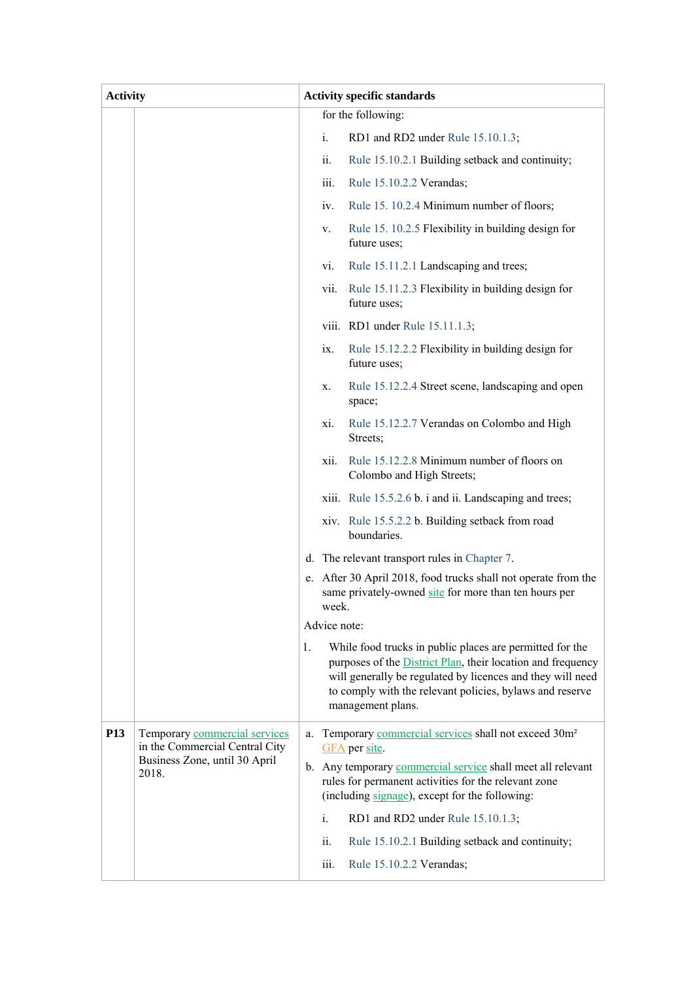| <b>Activity</b> |                                                                 | <b>Activity specific standards</b>      |              |                                                                                                                                                                                                                                                                        |  |
|-----------------|-----------------------------------------------------------------|-----------------------------------------|--------------|------------------------------------------------------------------------------------------------------------------------------------------------------------------------------------------------------------------------------------------------------------------------|--|
|                 |                                                                 |                                         |              | for the following:                                                                                                                                                                                                                                                     |  |
|                 |                                                                 |                                         | i.           | RD1 and RD2 under Rule 15.10.1.3;                                                                                                                                                                                                                                      |  |
|                 |                                                                 |                                         | ii.          | Rule 15.10.2.1 Building setback and continuity;                                                                                                                                                                                                                        |  |
|                 |                                                                 |                                         | iii.         | Rule 15.10.2.2 Verandas;                                                                                                                                                                                                                                               |  |
|                 |                                                                 |                                         | iv.          | Rule 15. 10.2.4 Minimum number of floors;                                                                                                                                                                                                                              |  |
|                 |                                                                 |                                         | V.           | Rule 15. 10.2.5 Flexibility in building design for<br>future uses;                                                                                                                                                                                                     |  |
|                 |                                                                 |                                         | vi.          | Rule 15.11.2.1 Landscaping and trees;                                                                                                                                                                                                                                  |  |
|                 |                                                                 |                                         | vii.         | Rule 15.11.2.3 Flexibility in building design for<br>future uses;                                                                                                                                                                                                      |  |
|                 |                                                                 |                                         |              | viii. RD1 under Rule 15.11.1.3;                                                                                                                                                                                                                                        |  |
|                 |                                                                 |                                         | ix.          | Rule 15.12.2.2 Flexibility in building design for<br>future uses;                                                                                                                                                                                                      |  |
|                 |                                                                 |                                         | X.           | Rule 15.12.2.4 Street scene, landscaping and open<br>space;                                                                                                                                                                                                            |  |
|                 |                                                                 |                                         | xi.          | Rule 15.12.2.7 Verandas on Colombo and High<br>Streets;                                                                                                                                                                                                                |  |
|                 |                                                                 |                                         | xii.         | Rule 15.12.2.8 Minimum number of floors on<br>Colombo and High Streets;                                                                                                                                                                                                |  |
|                 |                                                                 |                                         |              | xiii. Rule 15.5.2.6 b. i and ii. Landscaping and trees;                                                                                                                                                                                                                |  |
|                 |                                                                 |                                         |              | xiv. Rule 15.5.2.2 b. Building setback from road<br>boundaries.                                                                                                                                                                                                        |  |
|                 |                                                                 |                                         |              | d. The relevant transport rules in Chapter 7.                                                                                                                                                                                                                          |  |
|                 |                                                                 |                                         | week.        | e. After 30 April 2018, food trucks shall not operate from the<br>same privately-owned site for more than ten hours per                                                                                                                                                |  |
|                 |                                                                 |                                         | Advice note: |                                                                                                                                                                                                                                                                        |  |
|                 |                                                                 | 1.                                      |              | While food trucks in public places are permitted for the<br>purposes of the District Plan, their location and frequency<br>will generally be regulated by licences and they will need<br>to comply with the relevant policies, bylaws and reserve<br>management plans. |  |
| P <sub>13</sub> | Temporary commercial services<br>in the Commercial Central City | a.                                      |              | Temporary commercial services shall not exceed 30m <sup>2</sup><br>GFA per site.                                                                                                                                                                                       |  |
|                 | Business Zone, until 30 April<br>2018.                          |                                         |              | b. Any temporary commercial service shall meet all relevant<br>rules for permanent activities for the relevant zone<br>(including signage), except for the following:                                                                                                  |  |
|                 |                                                                 | i.<br>RD1 and RD2 under Rule 15.10.1.3; |              |                                                                                                                                                                                                                                                                        |  |
|                 |                                                                 |                                         | ii.          | Rule 15.10.2.1 Building setback and continuity;                                                                                                                                                                                                                        |  |
|                 |                                                                 |                                         | iii.         | Rule 15.10.2.2 Verandas;                                                                                                                                                                                                                                               |  |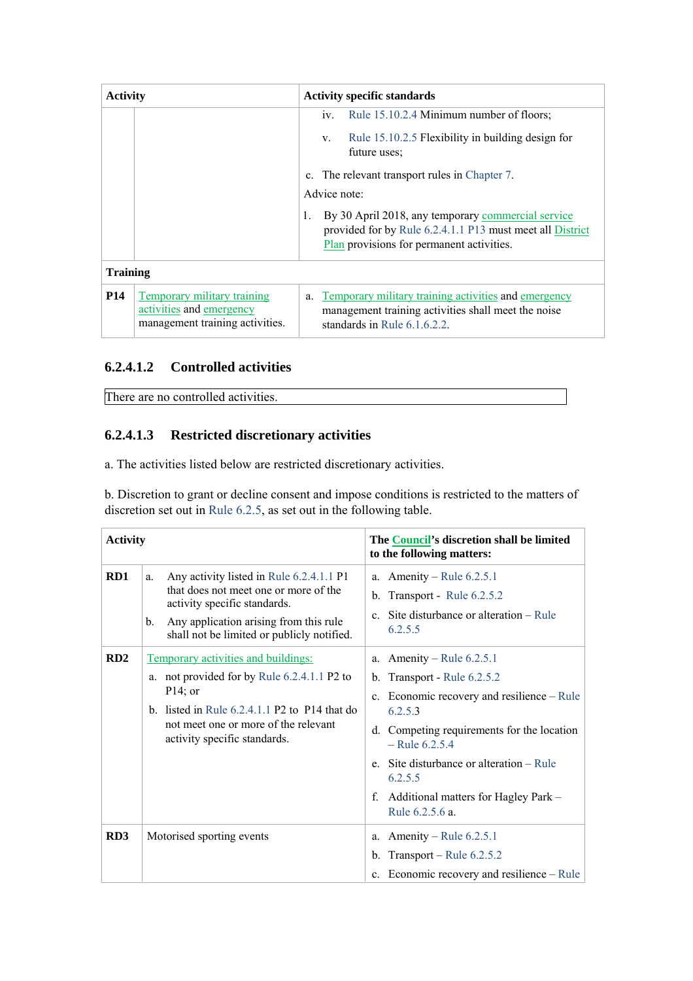| <b>Activity</b> |                                                                                            | <b>Activity specific standards</b>                                                                                                                                                                       |  |  |  |
|-----------------|--------------------------------------------------------------------------------------------|----------------------------------------------------------------------------------------------------------------------------------------------------------------------------------------------------------|--|--|--|
|                 |                                                                                            | Rule 15.10.2.4 Minimum number of floors;<br>$\mathbf{IV}$ .<br>Rule 15.10.2.5 Flexibility in building design for<br>$V_{\cdot}$<br>future uses;<br>The relevant transport rules in Chapter 7.<br>$c_{-}$ |  |  |  |
|                 |                                                                                            | Advice note:<br>By 30 April 2018, any temporary commercial service<br>1.<br>provided for by Rule 6.2.4.1.1 P13 must meet all District<br>Plan provisions for permanent activities.                       |  |  |  |
| <b>Training</b> |                                                                                            |                                                                                                                                                                                                          |  |  |  |
| <b>P14</b>      | Temporary military training<br>activities and emergency<br>management training activities. | Temporary military training activities and emergency<br>a.<br>management training activities shall meet the noise<br>standards in Rule $6.1.6.2.2$ .                                                     |  |  |  |

### **6.2.4.1.2 Controlled activities**

There are no controlled activities.

### **6.2.4.1.3 Restricted discretionary activities**

a. The activities listed below are restricted discretionary activities.

b. Discretion to grant or decline consent and impose conditions is restricted to the matters of discretion set out in Rule 6.2.5, as set out in the following table.

| <b>Activity</b> |                                                                                                                                                                                                                             | The Council's discretion shall be limited<br>to the following matters:                                                                                                                                                                                                                                             |
|-----------------|-----------------------------------------------------------------------------------------------------------------------------------------------------------------------------------------------------------------------------|--------------------------------------------------------------------------------------------------------------------------------------------------------------------------------------------------------------------------------------------------------------------------------------------------------------------|
| RD1             | Any activity listed in Rule 6.2.4.1.1 P1<br>a.<br>that does not meet one or more of the<br>activity specific standards.<br>Any application arising from this rule<br>b.<br>shall not be limited or publicly notified.       | Amenity – Rule $6.2.5.1$<br>a.<br>b. Transport - Rule $6.2.5.2$<br>c. Site disturbance or alteration – Rule<br>6.2.5.5                                                                                                                                                                                             |
| RD2             | Temporary activities and buildings:<br>a. not provided for by Rule 6.2.4.1.1 P2 to<br>$P14$ ; or<br>b. listed in Rule $6.2.4.1.1$ P2 to P14 that do<br>not meet one or more of the relevant<br>activity specific standards. | a. Amenity – Rule $6.2.5.1$<br>b. Transport - Rule $6.2.5.2$<br>c. Economic recovery and resilience – Rule<br>6.2.5.3<br>Competing requirements for the location<br>d.<br>$-$ Rule 6.2.5.4<br>e. Site disturbance or alteration – Rule<br>6.2.5.5<br>Additional matters for Hagley Park -<br>f.<br>Rule 6.2.5.6 a. |
| RD <sub>3</sub> | Motorised sporting events                                                                                                                                                                                                   | a. Amenity – Rule $6.2.5.1$<br>b. Transport – Rule $6.2.5.2$<br>c. Economic recovery and resilience – Rule                                                                                                                                                                                                         |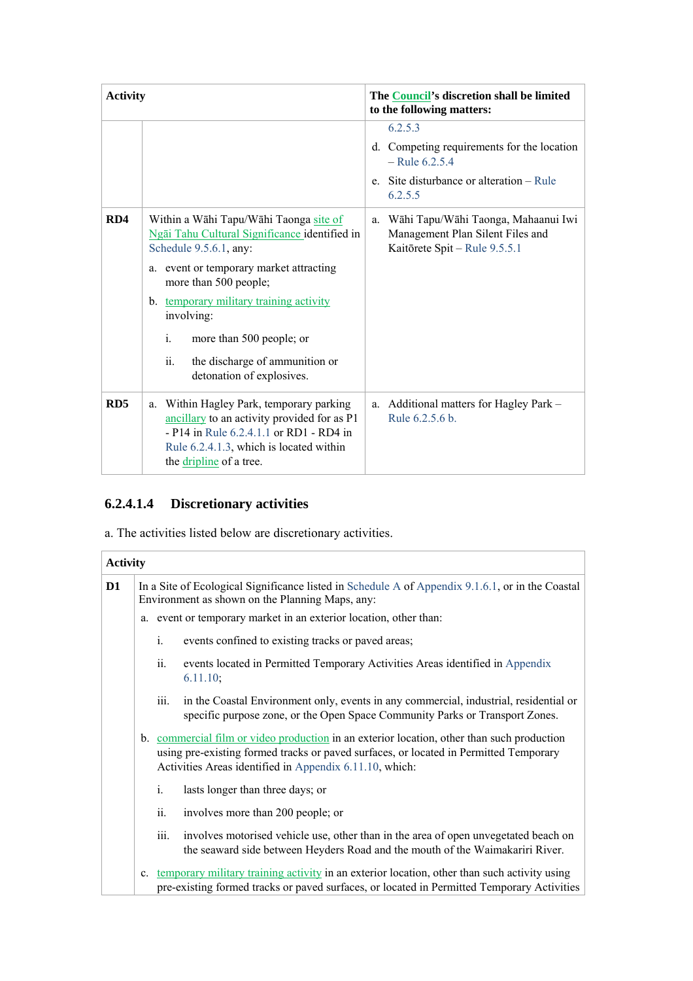| <b>Activity</b> |                                                                                                                                                                                                                                                                                                                                                           | The Council's discretion shall be limited<br>to the following matters:                                                                      |
|-----------------|-----------------------------------------------------------------------------------------------------------------------------------------------------------------------------------------------------------------------------------------------------------------------------------------------------------------------------------------------------------|---------------------------------------------------------------------------------------------------------------------------------------------|
|                 |                                                                                                                                                                                                                                                                                                                                                           | 6.2.5.3<br>Competing requirements for the location<br>d.<br>$-$ Rule 6.2.5.4<br>Site disturbance or alteration – Rule<br>$e_{-}$<br>6.2.5.5 |
| RD4             | Within a Wāhi Tapu/Wāhi Taonga site of<br>Ngāi Tahu Cultural Significance identified in<br>Schedule 9.5.6.1, any:<br>a. event or temporary market attracting<br>more than 500 people;<br>b. temporary military training activity<br>involving:<br>$i$ .<br>more than 500 people; or<br>ii.<br>the discharge of ammunition or<br>detonation of explosives. | Wāhi Tapu/Wāhi Taonga, Mahaanui Iwi<br>a.<br>Management Plan Silent Files and<br>Kaitōrete Spit - Rule 9.5.5.1                              |
| RD <sub>5</sub> | Within Hagley Park, temporary parking<br>a.<br>ancillary to an activity provided for as P1<br>- P14 in Rule 6.2.4.1.1 or RD1 - RD4 in<br>Rule 6.2.4.1.3, which is located within<br>the dripline of a tree.                                                                                                                                               | a. Additional matters for Hagley Park -<br>Rule 6.2.5.6 b.                                                                                  |

# **6.2.4.1.4 Discretionary activities**

a. The activities listed below are discretionary activities.

| <b>Activity</b> |    |                                                                                                                                                     |                                                                                                                                                                                                                                                |  |  |  |
|-----------------|----|-----------------------------------------------------------------------------------------------------------------------------------------------------|------------------------------------------------------------------------------------------------------------------------------------------------------------------------------------------------------------------------------------------------|--|--|--|
| D1              |    | In a Site of Ecological Significance listed in Schedule A of Appendix 9.1.6.1, or in the Coastal<br>Environment as shown on the Planning Maps, any: |                                                                                                                                                                                                                                                |  |  |  |
|                 |    |                                                                                                                                                     | a. event or temporary market in an exterior location, other than:                                                                                                                                                                              |  |  |  |
|                 |    | i.                                                                                                                                                  | events confined to existing tracks or paved areas;                                                                                                                                                                                             |  |  |  |
|                 |    | ii.                                                                                                                                                 | events located in Permitted Temporary Activities Areas identified in Appendix<br>6.11.10;                                                                                                                                                      |  |  |  |
|                 |    | iii.                                                                                                                                                | in the Coastal Environment only, events in any commercial, industrial, residential or<br>specific purpose zone, or the Open Space Community Parks or Transport Zones.                                                                          |  |  |  |
|                 |    |                                                                                                                                                     | b. commercial film or video production in an exterior location, other than such production<br>using pre-existing formed tracks or paved surfaces, or located in Permitted Temporary<br>Activities Areas identified in Appendix 6.11.10, which: |  |  |  |
|                 |    | i.                                                                                                                                                  | lasts longer than three days; or                                                                                                                                                                                                               |  |  |  |
|                 |    | ii.                                                                                                                                                 | involves more than 200 people; or                                                                                                                                                                                                              |  |  |  |
|                 |    | iii.                                                                                                                                                | involves motorised vehicle use, other than in the area of open unvegetated beach on<br>the seaward side between Heyders Road and the mouth of the Waimakariri River.                                                                           |  |  |  |
|                 | c. |                                                                                                                                                     | temporary military training activity in an exterior location, other than such activity using<br>pre-existing formed tracks or paved surfaces, or located in Permitted Temporary Activities                                                     |  |  |  |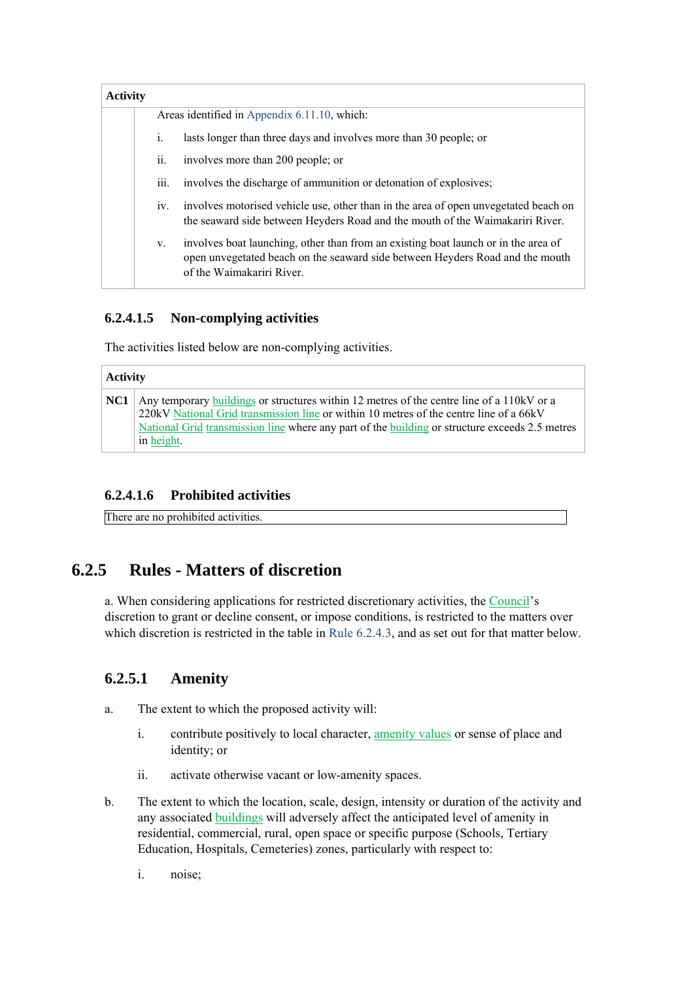| <b>Activity</b> |      |                                                                                                                                                                                                  |
|-----------------|------|--------------------------------------------------------------------------------------------------------------------------------------------------------------------------------------------------|
|                 |      | Areas identified in Appendix 6.11.10, which:                                                                                                                                                     |
|                 | i.   | lasts longer than three days and involves more than 30 people; or                                                                                                                                |
|                 | ii.  | involves more than 200 people; or                                                                                                                                                                |
|                 | iii. | involves the discharge of ammunition or detonation of explosives;                                                                                                                                |
|                 | IV.  | involves motorised vehicle use, other than in the area of open unvegetated beach on<br>the seaward side between Heyders Road and the mouth of the Waimakariri River.                             |
|                 | V.   | involves boat launching, other than from an existing boat launch or in the area of<br>open unvegetated beach on the seaward side between Heyders Road and the mouth<br>of the Waimakariri River. |

### **6.2.4.1.5 Non-complying activities**

The activities listed below are non-complying activities.

|     | <b>Activity</b>                                                                                                                                                                                                                                                                                     |  |  |
|-----|-----------------------------------------------------------------------------------------------------------------------------------------------------------------------------------------------------------------------------------------------------------------------------------------------------|--|--|
| NC1 | Any temporary buildings or structures within 12 metres of the centre line of a 110kV or a<br>220kV National Grid transmission line or within 10 metres of the centre line of a 66kV<br>National Grid transmission line where any part of the building or structure exceeds 2.5 metres<br>in height. |  |  |

#### **6.2.4.1.6 Prohibited activities**

There are no prohibited activities.

# **6.2.5 Rules - Matters of discretion**

a. When considering applications for restricted discretionary activities, the Council's discretion to grant or decline consent, or impose conditions, is restricted to the matters over which discretion is restricted in the table in Rule 6.2.4.3, and as set out for that matter below.

## **6.2.5.1 Amenity**

- a. The extent to which the proposed activity will:
	- i. contribute positively to local character, amenity values or sense of place and identity; or
	- ii. activate otherwise vacant or low-amenity spaces.
- b. The extent to which the location, scale, design, intensity or duration of the activity and any associated buildings will adversely affect the anticipated level of amenity in residential, commercial, rural, open space or specific purpose (Schools, Tertiary Education, Hospitals, Cemeteries) zones, particularly with respect to:
	- i. noise;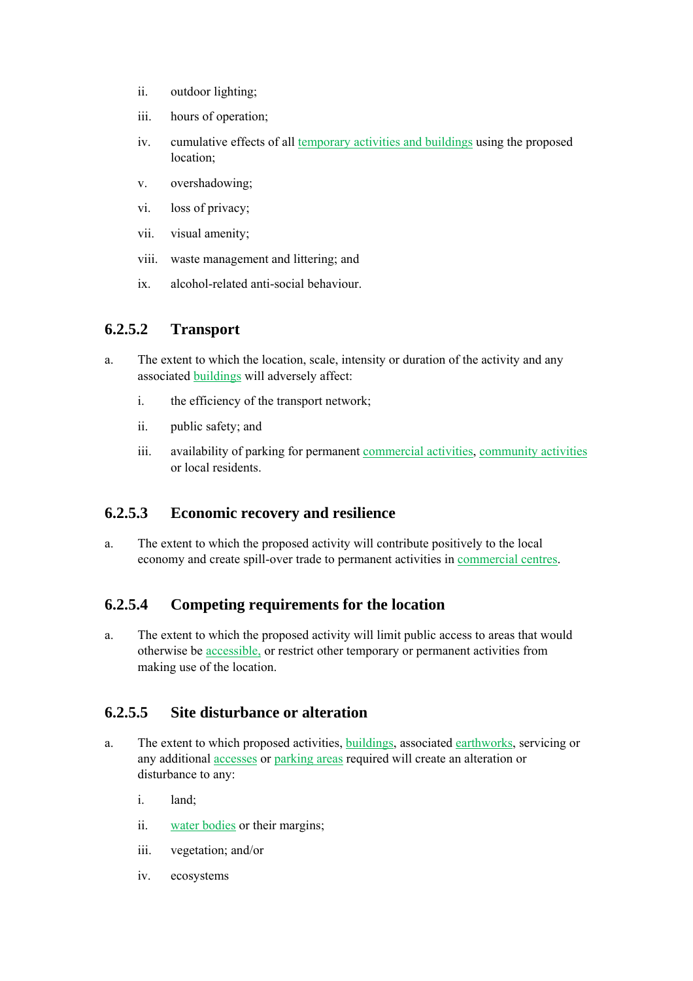- ii. outdoor lighting;
- iii. hours of operation;
- iv. cumulative effects of all temporary activities and buildings using the proposed location;
- v. overshadowing;
- vi. loss of privacy;
- vii. visual amenity;
- viii. waste management and littering; and
- ix. alcohol-related anti-social behaviour.

## **6.2.5.2 Transport**

- a. The extent to which the location, scale, intensity or duration of the activity and any associated buildings will adversely affect:
	- i. the efficiency of the transport network;
	- ii. public safety; and
	- iii. availability of parking for permanent commercial activities, community activities or local residents.

#### **6.2.5.3 Economic recovery and resilience**

a. The extent to which the proposed activity will contribute positively to the local economy and create spill-over trade to permanent activities in commercial centres.

#### **6.2.5.4 Competing requirements for the location**

a. The extent to which the proposed activity will limit public access to areas that would otherwise be accessible, or restrict other temporary or permanent activities from making use of the location.

## **6.2.5.5 Site disturbance or alteration**

- a. The extent to which proposed activities, buildings, associated earthworks, servicing or any additional accesses or parking areas required will create an alteration or disturbance to any:
	- i. land;
	- ii. water bodies or their margins;
	- iii. vegetation; and/or
	- iv. ecosystems